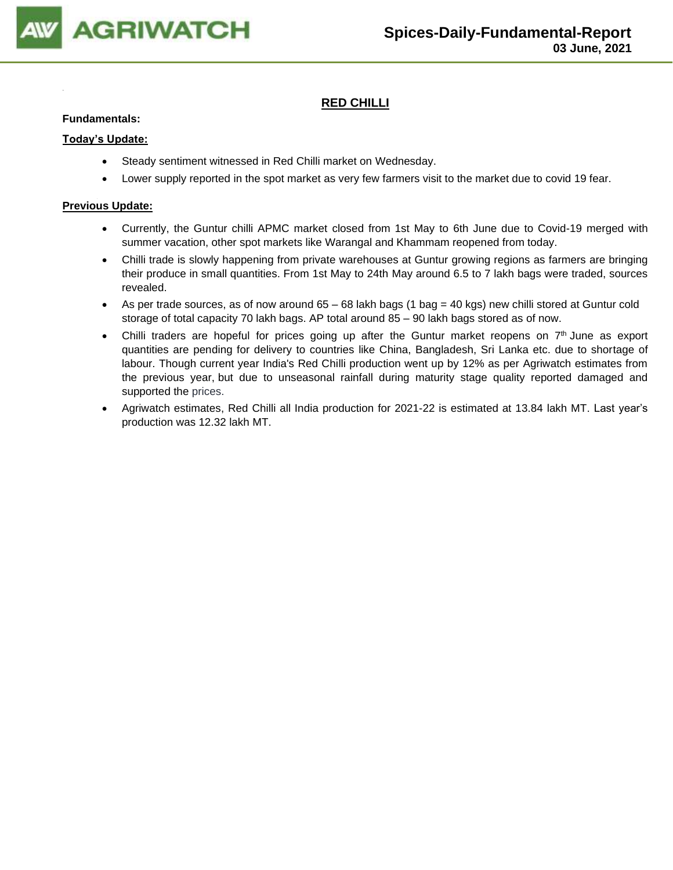

## **RED CHILLI**

#### **Fundamentals:**

#### **Today's Update:**

- Steady sentiment witnessed in Red Chilli market on Wednesday.
- Lower supply reported in the spot market as very few farmers visit to the market due to covid 19 fear.

- Currently, the Guntur chilli APMC market closed from 1st May to 6th June due to Covid-19 merged with summer vacation, other spot markets like Warangal and Khammam reopened from today.
- Chilli trade is slowly happening from private warehouses at Guntur growing regions as farmers are bringing their produce in small quantities. From 1st May to 24th May around 6.5 to 7 lakh bags were traded, sources revealed.
- As per trade sources, as of now around  $65 68$  lakh bags (1 bag = 40 kgs) new chilli stored at Guntur cold storage of total capacity 70 lakh bags. AP total around 85 – 90 lakh bags stored as of now.
- Chilli traders are hopeful for prices going up after the Guntur market reopens on  $7<sup>th</sup>$  June as export quantities are pending for delivery to countries like China, Bangladesh, Sri Lanka etc. due to shortage of labour. Though current year India's Red Chilli production went up by 12% as per Agriwatch estimates from the previous year, but due to unseasonal rainfall during maturity stage quality reported damaged and supported the prices.
- Agriwatch estimates, Red Chilli all India production for 2021-22 is estimated at 13.84 lakh MT. Last year's production was 12.32 lakh MT.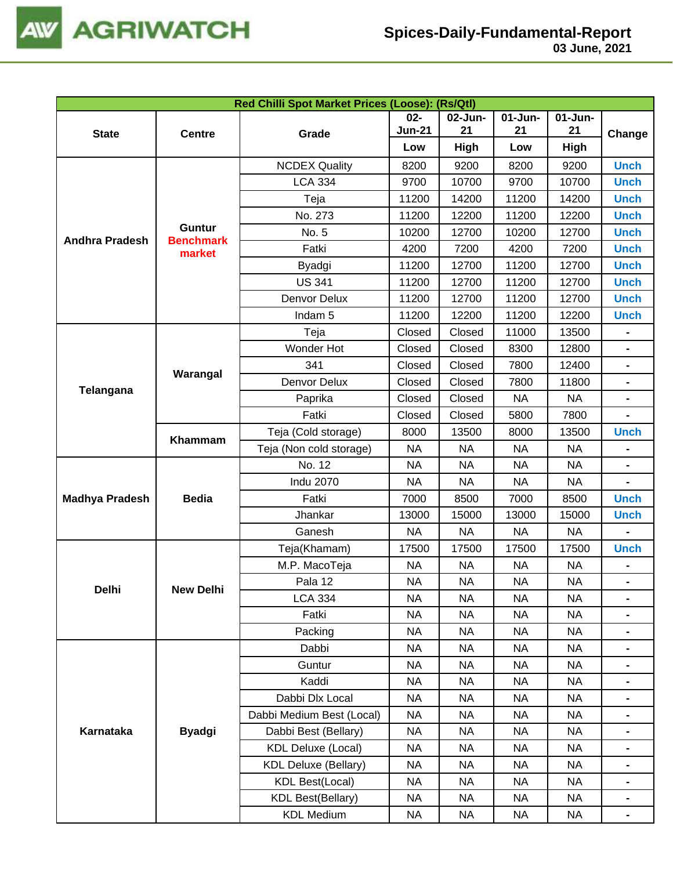

| 03 June, 2021 |  |
|---------------|--|
|---------------|--|

| Red Chilli Spot Market Prices (Loose): (Rs/Qtl) |                            |                             |               |           |            |            |                |
|-------------------------------------------------|----------------------------|-----------------------------|---------------|-----------|------------|------------|----------------|
|                                                 |                            |                             | $02-$         | 02-Jun-   | $01-J$ un- | $01$ -Jun- |                |
| <b>State</b>                                    | <b>Centre</b>              | Grade                       | <b>Jun-21</b> | 21        | 21         | 21         | Change         |
|                                                 |                            |                             | Low           | High      | Low        | High       |                |
|                                                 |                            | <b>NCDEX Quality</b>        | 8200          | 9200      | 8200       | 9200       | <b>Unch</b>    |
|                                                 |                            | <b>LCA 334</b>              | 9700          | 10700     | 9700       | 10700      | <b>Unch</b>    |
|                                                 |                            | Teja                        | 11200         | 14200     | 11200      | 14200      | <b>Unch</b>    |
|                                                 |                            | No. 273                     | 11200         | 12200     | 11200      | 12200      | <b>Unch</b>    |
| <b>Andhra Pradesh</b>                           | Guntur<br><b>Benchmark</b> | No. 5                       | 10200         | 12700     | 10200      | 12700      | <b>Unch</b>    |
|                                                 | market                     | Fatki                       | 4200          | 7200      | 4200       | 7200       | <b>Unch</b>    |
|                                                 |                            | Byadgi                      | 11200         | 12700     | 11200      | 12700      | <b>Unch</b>    |
|                                                 |                            | <b>US 341</b>               | 11200         | 12700     | 11200      | 12700      | <b>Unch</b>    |
|                                                 |                            | Denvor Delux                | 11200         | 12700     | 11200      | 12700      | <b>Unch</b>    |
|                                                 |                            | Indam <sub>5</sub>          | 11200         | 12200     | 11200      | 12200      | <b>Unch</b>    |
|                                                 |                            | Teja                        | Closed        | Closed    | 11000      | 13500      |                |
|                                                 |                            | Wonder Hot                  | Closed        | Closed    | 8300       | 12800      | $\blacksquare$ |
|                                                 |                            | 341                         | Closed        | Closed    | 7800       | 12400      |                |
|                                                 | Warangal                   | Denvor Delux                | Closed        | Closed    | 7800       | 11800      |                |
| Telangana                                       |                            | Paprika                     | Closed        | Closed    | <b>NA</b>  | <b>NA</b>  | $\blacksquare$ |
|                                                 |                            | Fatki                       | Closed        | Closed    | 5800       | 7800       |                |
|                                                 |                            | Teja (Cold storage)         | 8000          | 13500     | 8000       | 13500      | <b>Unch</b>    |
|                                                 | Khammam                    | Teja (Non cold storage)     | <b>NA</b>     | <b>NA</b> | <b>NA</b>  | <b>NA</b>  |                |
|                                                 |                            | No. 12                      | <b>NA</b>     | <b>NA</b> | <b>NA</b>  | <b>NA</b>  |                |
|                                                 |                            | <b>Indu 2070</b>            | <b>NA</b>     | <b>NA</b> | <b>NA</b>  | <b>NA</b>  |                |
| <b>Madhya Pradesh</b>                           | <b>Bedia</b>               | Fatki                       | 7000          | 8500      | 7000       | 8500       | <b>Unch</b>    |
|                                                 |                            | Jhankar                     | 13000         | 15000     | 13000      | 15000      | <b>Unch</b>    |
|                                                 |                            | Ganesh                      | <b>NA</b>     | <b>NA</b> | <b>NA</b>  | <b>NA</b>  | $\blacksquare$ |
|                                                 |                            | Teja(Khamam)                | 17500         | 17500     | 17500      | 17500      | <b>Unch</b>    |
|                                                 |                            | M.P. MacoTeja               | <b>NA</b>     | <b>NA</b> | <b>NA</b>  | <b>NA</b>  |                |
|                                                 |                            | Pala 12                     | <b>NA</b>     | <b>NA</b> | <b>NA</b>  | $\sf NA$   |                |
| Delhi                                           | <b>New Delhi</b>           | <b>LCA 334</b>              | <b>NA</b>     | <b>NA</b> | <b>NA</b>  | <b>NA</b>  | $\blacksquare$ |
|                                                 |                            | Fatki                       | NА            | <b>NA</b> | NA         | NA         |                |
|                                                 |                            | Packing                     | <b>NA</b>     | <b>NA</b> | <b>NA</b>  | <b>NA</b>  |                |
|                                                 |                            | Dabbi                       | <b>NA</b>     | <b>NA</b> | <b>NA</b>  | <b>NA</b>  |                |
|                                                 |                            | Guntur                      | <b>NA</b>     | <b>NA</b> | <b>NA</b>  | <b>NA</b>  |                |
|                                                 |                            | Kaddi                       | <b>NA</b>     | <b>NA</b> | <b>NA</b>  | NA         | $\blacksquare$ |
|                                                 |                            | Dabbi Dlx Local             | <b>NA</b>     | <b>NA</b> | <b>NA</b>  | <b>NA</b>  | $\blacksquare$ |
|                                                 |                            | Dabbi Medium Best (Local)   | <b>NA</b>     | <b>NA</b> | <b>NA</b>  | NA         | $\blacksquare$ |
| Karnataka                                       | <b>Byadgi</b>              | Dabbi Best (Bellary)        | <b>NA</b>     | <b>NA</b> | <b>NA</b>  | NA         |                |
|                                                 |                            | <b>KDL Deluxe (Local)</b>   | <b>NA</b>     | NA        | <b>NA</b>  | NA         | $\blacksquare$ |
|                                                 |                            | <b>KDL Deluxe (Bellary)</b> | <b>NA</b>     | <b>NA</b> | <b>NA</b>  | NA         | $\blacksquare$ |
|                                                 |                            | <b>KDL Best(Local)</b>      | NА            | <b>NA</b> | <b>NA</b>  | NA         | $\blacksquare$ |
|                                                 |                            |                             |               |           |            |            |                |
|                                                 |                            | <b>KDL Best(Bellary)</b>    | <b>NA</b>     | <b>NA</b> | <b>NA</b>  | NA         |                |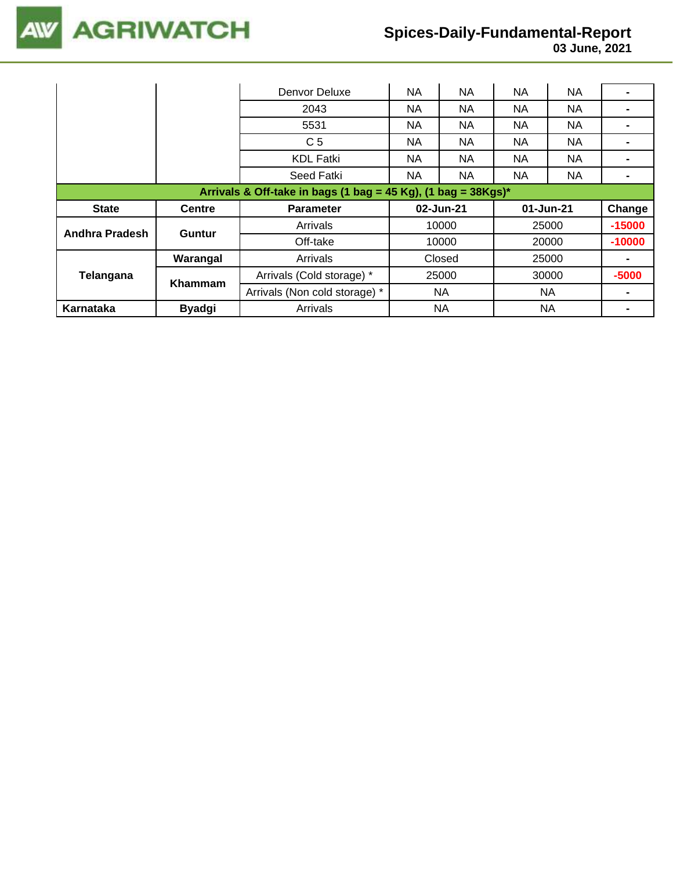

|                                                               |                | Denvor Deluxe                 | NA        | NA        | NA        | <b>NA</b> |          |  |
|---------------------------------------------------------------|----------------|-------------------------------|-----------|-----------|-----------|-----------|----------|--|
|                                                               |                | 2043                          | NA.       | NA        | <b>NA</b> | <b>NA</b> |          |  |
|                                                               |                | 5531                          | NA.       | NA.       | NA.       | NA.       |          |  |
|                                                               |                | C <sub>5</sub>                | NA.       | NA.       | NA.       | NA.       |          |  |
|                                                               |                | <b>KDL Fatki</b>              | NA.       | NA.       | NА        | NA.       |          |  |
|                                                               |                | Seed Fatki                    | <b>NA</b> | NA        | <b>NA</b> | NA.       |          |  |
| Arrivals & Off-take in bags (1 bag = 45 Kg), (1 bag = 38Kgs)* |                |                               |           |           |           |           |          |  |
|                                                               |                |                               |           |           |           |           |          |  |
| <b>State</b>                                                  | <b>Centre</b>  | <b>Parameter</b>              |           | 02-Jun-21 |           | 01-Jun-21 | Change   |  |
|                                                               |                | Arrivals                      |           | 10000     |           | 25000     | $-15000$ |  |
| Andhra Pradesh                                                | <b>Guntur</b>  | Off-take                      |           | 10000     |           | 20000     | $-10000$ |  |
|                                                               | Warangal       | Arrivals                      |           | Closed    |           | 25000     |          |  |
| Telangana                                                     |                | Arrivals (Cold storage) *     |           | 25000     |           | 30000     | $-5000$  |  |
|                                                               | <b>Khammam</b> | Arrivals (Non cold storage) * |           | NA.       |           | <b>NA</b> |          |  |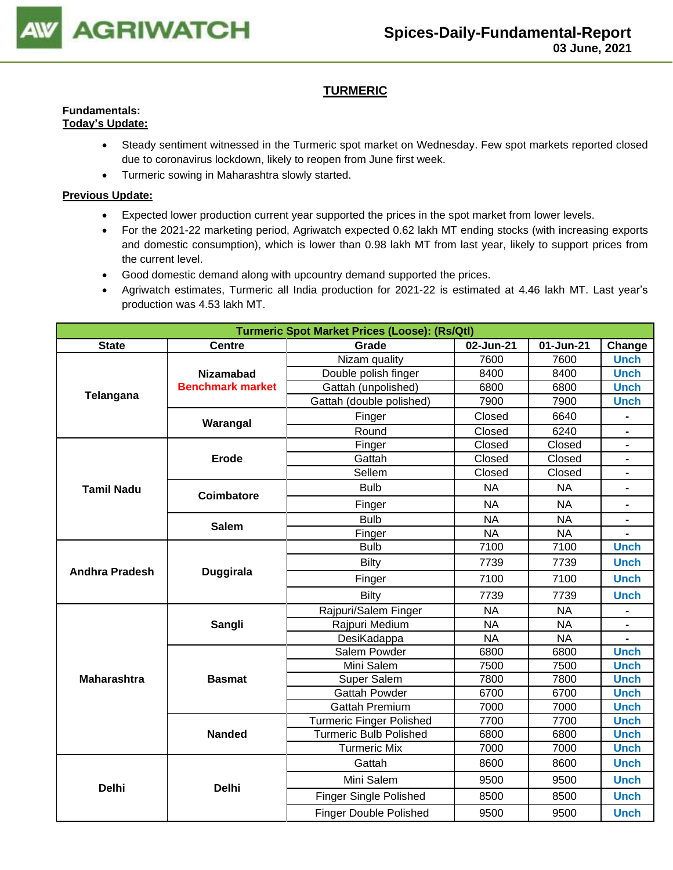

## **TURMERIC**

#### **Fundamentals: Today's Update:**

- Steady sentiment witnessed in the Turmeric spot market on Wednesday. Few spot markets reported closed due to coronavirus lockdown, likely to reopen from June first week.
- Turmeric sowing in Maharashtra slowly started.

- Expected lower production current year supported the prices in the spot market from lower levels.
- For the 2021-22 marketing period, Agriwatch expected 0.62 lakh MT ending stocks (with increasing exports and domestic consumption), which is lower than 0.98 lakh MT from last year, likely to support prices from the current level.
- Good domestic demand along with upcountry demand supported the prices.
- Agriwatch estimates, Turmeric all India production for 2021-22 is estimated at 4.46 lakh MT. Last year's production was 4.53 lakh MT.

| <b>Turmeric Spot Market Prices (Loose): (Rs/Qtl)</b> |                         |                               |           |           |                              |
|------------------------------------------------------|-------------------------|-------------------------------|-----------|-----------|------------------------------|
| <b>State</b>                                         | <b>Centre</b>           | Grade                         | 02-Jun-21 | 01-Jun-21 | Change                       |
|                                                      |                         | Nizam quality                 | 7600      | 7600      | <b>Unch</b>                  |
|                                                      | <b>Nizamabad</b>        | Double polish finger          | 8400      | 8400      | <b>Unch</b>                  |
|                                                      | <b>Benchmark market</b> | Gattah (unpolished)           | 6800      | 6800      | <b>Unch</b>                  |
| Telangana                                            |                         | Gattah (double polished)      | 7900      | 7900      | <b>Unch</b>                  |
|                                                      | Warangal                | Finger                        | Closed    | 6640      |                              |
|                                                      |                         | Round                         | Closed    | 6240      |                              |
|                                                      |                         | Finger                        | Closed    | Closed    |                              |
|                                                      | Erode                   | Gattah                        | Closed    | Closed    |                              |
|                                                      |                         | Sellem                        | Closed    | Closed    | $\qquad \qquad \blacksquare$ |
| <b>Tamil Nadu</b>                                    | Coimbatore              | <b>Bulb</b>                   | <b>NA</b> | <b>NA</b> | $\blacksquare$               |
|                                                      |                         | Finger                        | <b>NA</b> | <b>NA</b> |                              |
|                                                      | <b>Salem</b>            | <b>Bulb</b>                   | <b>NA</b> | <b>NA</b> |                              |
|                                                      |                         | Finger                        | <b>NA</b> | <b>NA</b> |                              |
|                                                      |                         | <b>Bulb</b>                   | 7100      | 7100      | <b>Unch</b>                  |
|                                                      | <b>Duggirala</b>        | <b>Bilty</b>                  | 7739      | 7739      | <b>Unch</b>                  |
| <b>Andhra Pradesh</b>                                |                         | Finger                        | 7100      | 7100      | <b>Unch</b>                  |
|                                                      |                         | Bilty                         | 7739      | 7739      | <b>Unch</b>                  |
|                                                      |                         | Rajpuri/Salem Finger          | <b>NA</b> | <b>NA</b> |                              |
|                                                      | Sangli                  | Rajpuri Medium                | <b>NA</b> | <b>NA</b> |                              |
|                                                      |                         | DesiKadappa                   | <b>NA</b> | <b>NA</b> |                              |
|                                                      |                         | Salem Powder                  | 6800      | 6800      | <b>Unch</b>                  |
|                                                      |                         | Mini Salem                    | 7500      | 7500      | <b>Unch</b>                  |
| <b>Maharashtra</b>                                   | <b>Basmat</b>           | Super Salem                   | 7800      | 7800      | <b>Unch</b>                  |
|                                                      |                         | <b>Gattah Powder</b>          | 6700      | 6700      | <b>Unch</b>                  |
|                                                      |                         | <b>Gattah Premium</b>         | 7000      | 7000      | <b>Unch</b>                  |
|                                                      |                         | Turmeric Finger Polished      | 7700      | 7700      | <b>Unch</b>                  |
|                                                      | <b>Nanded</b>           | <b>Turmeric Bulb Polished</b> | 6800      | 6800      | <b>Unch</b>                  |
|                                                      |                         | <b>Turmeric Mix</b>           | 7000      | 7000      | <b>Unch</b>                  |
|                                                      |                         | Gattah                        | 8600      | 8600      | <b>Unch</b>                  |
| <b>Delhi</b>                                         | <b>Delhi</b>            | Mini Salem                    | 9500      | 9500      | <b>Unch</b>                  |
|                                                      |                         | Finger Single Polished        | 8500      | 8500      | <b>Unch</b>                  |
|                                                      |                         | <b>Finger Double Polished</b> | 9500      | 9500      | <b>Unch</b>                  |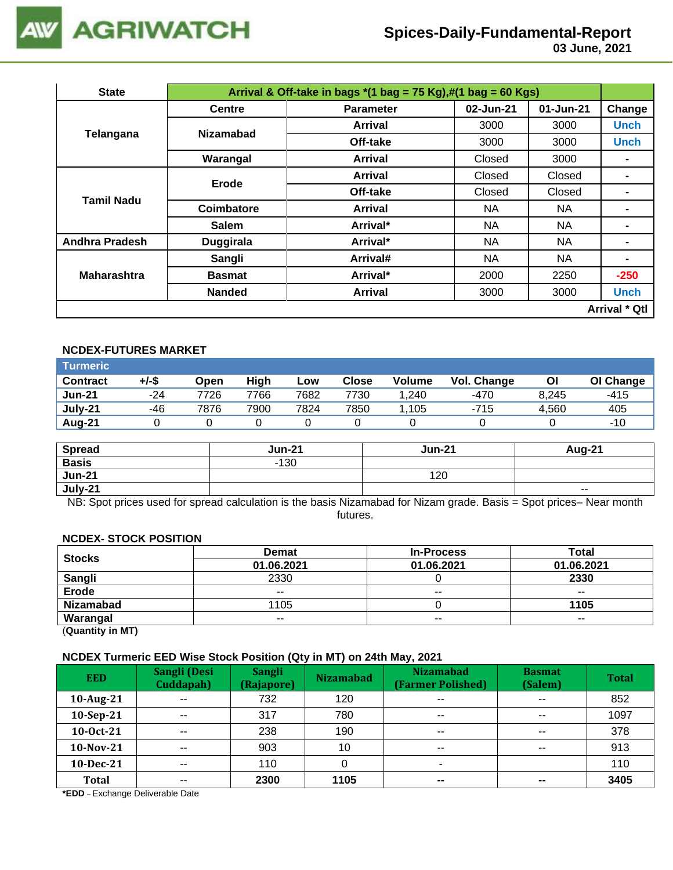

 **03 June, 2021**

| <b>State</b>          | Arrival & Off-take in bags $*(1 \text{ bag} = 75 \text{ Kg}), \#(1 \text{ bag} = 60 \text{ Kg})$ |                  |           |           |                      |  |
|-----------------------|--------------------------------------------------------------------------------------------------|------------------|-----------|-----------|----------------------|--|
|                       | <b>Centre</b>                                                                                    | <b>Parameter</b> | 02-Jun-21 | 01-Jun-21 | Change               |  |
| Telangana             | <b>Nizamabad</b>                                                                                 | Arrival          | 3000      | 3000      | <b>Unch</b>          |  |
|                       |                                                                                                  | Off-take         | 3000      | 3000      | <b>Unch</b>          |  |
|                       | Warangal                                                                                         | <b>Arrival</b>   | Closed    | 3000      |                      |  |
|                       | <b>Erode</b>                                                                                     | <b>Arrival</b>   | Closed    | Closed    |                      |  |
| <b>Tamil Nadu</b>     |                                                                                                  | Off-take         | Closed    | Closed    |                      |  |
|                       | Coimbatore                                                                                       | <b>Arrival</b>   | NA.       | NA.       |                      |  |
|                       | <b>Salem</b>                                                                                     | Arrival*         | NA        | NA        | -                    |  |
| <b>Andhra Pradesh</b> | Duggirala                                                                                        | Arrival*         | NA        | <b>NA</b> | -                    |  |
|                       | Sangli                                                                                           | Arrival#         | NA        | NA        | $\blacksquare$       |  |
| <b>Maharashtra</b>    | <b>Basmat</b>                                                                                    | Arrival*         | 2000      | 2250      | $-250$               |  |
|                       | <b>Nanded</b>                                                                                    | <b>Arrival</b>   | 3000      | 3000      | <b>Unch</b>          |  |
|                       |                                                                                                  |                  |           |           | <b>Arrival * Qtl</b> |  |

#### **NCDEX-FUTURES MARKET**

| <b>Turmeric</b> |       |      |      |      |              |               |             |       |           |
|-----------------|-------|------|------|------|--------------|---------------|-------------|-------|-----------|
| <b>Contract</b> | +/-\$ | Open | High | Low  | <b>Close</b> | <b>Volume</b> | Vol. Change | Οl    | OI Change |
| <b>Jun-21</b>   | $-24$ | 7726 | 7766 | 7682 | 7730         | 1.240         | $-470$      | 8.245 | $-415$    |
| July-21         | -46   | 7876 | 7900 | 7824 | 7850         | 1,105         | $-715$      | 4.560 | 405       |
| Aug-21          |       |      |      |      |              |               |             |       | $-10$     |

| <b>Spread</b> | <b>Jun-21</b> | <b>Jun-21</b> | Aug-21 |
|---------------|---------------|---------------|--------|
| <b>Basis</b>  | $-130$        |               |        |
| <b>Jun-21</b> |               | 120           |        |
| July-21       |               |               | $- -$  |

NB: Spot prices used for spread calculation is the basis Nizamabad for Nizam grade. Basis = Spot prices– Near month futures.

#### **NCDEX- STOCK POSITION**

| <b>Stocks</b>    | Demat      | <b>In-Process</b> | <b>Total</b> |
|------------------|------------|-------------------|--------------|
|                  | 01.06.2021 | 01.06.2021        | 01.06.2021   |
| <b>Sangli</b>    | 2330       |                   | 2330         |
| Erode            | $- -$      | $- -$             | $- -$        |
| <b>Nizamabad</b> | 1105       |                   | 1105         |
| Warangal         | $- -$      | $- -$             | $- -$        |
|                  |            |                   |              |

(**Quantity in MT)**

#### **NCDEX Turmeric EED Wise Stock Position (Qty in MT) on 24th May, 2021**

| <b>EED</b>   | Sangli (Desi<br>Cuddapah) | <b>Sangli</b><br>(Rajapore) | <b>Nizamabad</b> | <b>Nizamabad</b><br>(Farmer Polished) | <b>Basmat</b><br>(Salem) | <b>Total</b> |
|--------------|---------------------------|-----------------------------|------------------|---------------------------------------|--------------------------|--------------|
| 10-Aug-21    | $\overline{\phantom{a}}$  | 732                         | 120              | $\sim$ $\sim$                         | $\sim$ $\sim$            | 852          |
| 10-Sep-21    | $- -$                     | 317                         | 780              | $\sim$ $\sim$                         | $\sim$ $\sim$            | 1097         |
| 10-0ct-21    | $\sim$ $\sim$             | 238                         | 190              | $\sim$ $\sim$                         | $\sim$ $\sim$            | 378          |
| 10-Nov-21    | $- -$                     | 903                         | 10               | $- -$                                 | $- -$                    | 913          |
| 10-Dec-21    | $- -$                     | 110                         |                  | ۰                                     |                          | 110          |
| <b>Total</b> | $- -$                     | 2300                        | 1105             | $\overline{\phantom{m}}$              | $\sim$                   | 3405         |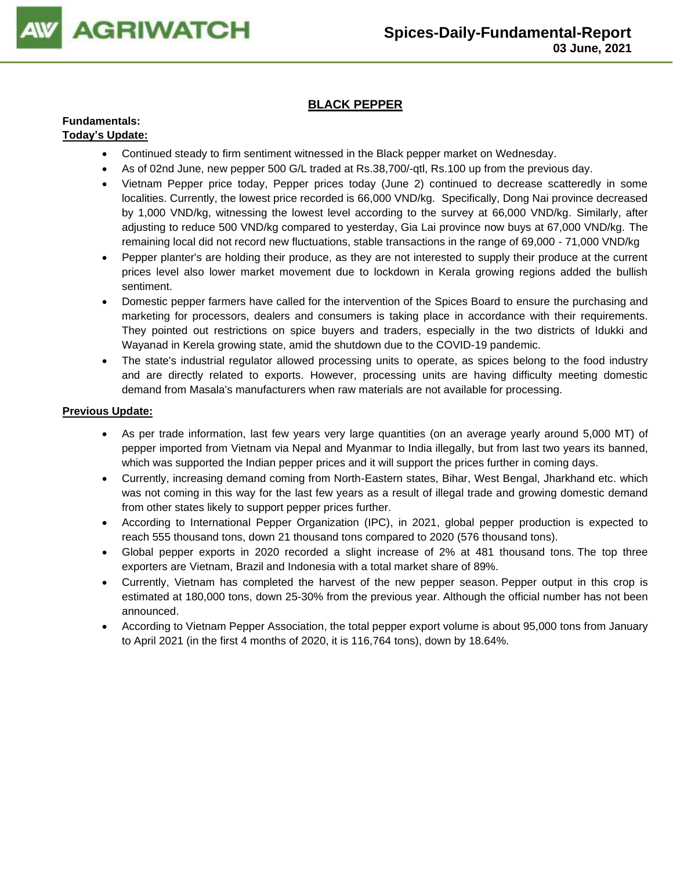

### **BLACK PEPPER**

#### **Fundamentals: Today's Update:**

- Continued steady to firm sentiment witnessed in the Black pepper market on Wednesday.
- As of 02nd June, new pepper 500 G/L traded at Rs.38,700/-qtl, Rs.100 up from the previous day.
- Vietnam Pepper price today, Pepper prices today (June 2) continued to decrease scatteredly in some localities. Currently, the lowest price recorded is 66,000 VND/kg. Specifically, Dong Nai province decreased by 1,000 VND/kg, witnessing the lowest level according to the survey at 66,000 VND/kg. Similarly, after adjusting to reduce 500 VND/kg compared to yesterday, Gia Lai province now buys at 67,000 VND/kg. The remaining local did not record new fluctuations, stable transactions in the range of 69,000 - 71,000 VND/kg
- Pepper planter's are holding their produce, as they are not interested to supply their produce at the current prices level also lower market movement due to lockdown in Kerala growing regions added the bullish sentiment.
- Domestic pepper farmers have called for the intervention of the Spices Board to ensure the purchasing and marketing for processors, dealers and consumers is taking place in accordance with their requirements. They pointed out restrictions on spice buyers and traders, especially in the two districts of Idukki and Wayanad in Kerela growing state, amid the shutdown due to the COVID-19 pandemic.
- The state's industrial regulator allowed processing units to operate, as spices belong to the food industry and are directly related to exports. However, processing units are having difficulty meeting domestic demand from Masala's manufacturers when raw materials are not available for processing.

- As per trade information, last few years very large quantities (on an average yearly around 5,000 MT) of pepper imported from Vietnam via Nepal and Myanmar to India illegally, but from last two years its banned, which was supported the Indian pepper prices and it will support the prices further in coming days.
- Currently, increasing demand coming from North-Eastern states, Bihar, West Bengal, Jharkhand etc. which was not coming in this way for the last few years as a result of illegal trade and growing domestic demand from other states likely to support pepper prices further.
- According to International Pepper Organization (IPC), in 2021, global pepper production is expected to reach 555 thousand tons, down 21 thousand tons compared to 2020 (576 thousand tons).
- Global pepper exports in 2020 recorded a slight increase of 2% at 481 thousand tons. The top three exporters are Vietnam, Brazil and Indonesia with a total market share of 89%.
- Currently, Vietnam has completed the harvest of the new pepper season. Pepper output in this crop is estimated at 180,000 tons, down 25-30% from the previous year. Although the official number has not been announced.
- According to Vietnam Pepper Association, the total pepper export volume is about 95,000 tons from January to April 2021 (in the first 4 months of 2020, it is 116,764 tons), down by 18.64%.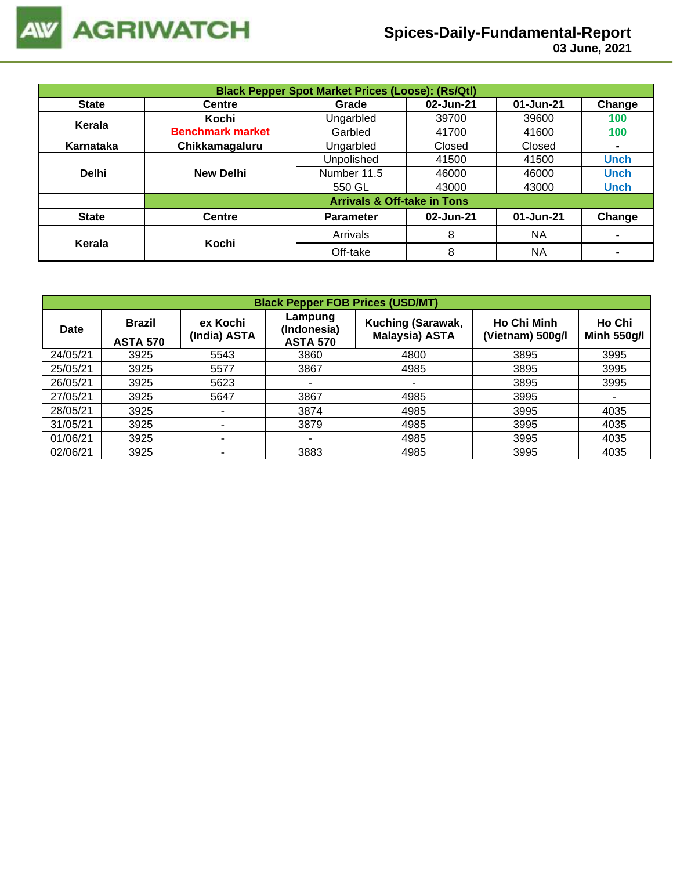

| <b>Black Pepper Spot Market Prices (Loose): (Rs/Qtl)</b> |                         |                                        |           |           |                |  |  |  |
|----------------------------------------------------------|-------------------------|----------------------------------------|-----------|-----------|----------------|--|--|--|
| <b>State</b>                                             | <b>Centre</b>           | Grade                                  | 02-Jun-21 | 01-Jun-21 | Change         |  |  |  |
| Kerala                                                   | Kochi                   | Ungarbled                              | 39700     | 39600     | 100            |  |  |  |
|                                                          | <b>Benchmark market</b> | Garbled                                | 41700     | 41600     | 100            |  |  |  |
| Karnataka                                                | Chikkamagaluru          | Ungarbled                              | Closed    | Closed    | $\blacksquare$ |  |  |  |
|                                                          |                         | Unpolished                             | 41500     | 41500     | <b>Unch</b>    |  |  |  |
| <b>Delhi</b>                                             | <b>New Delhi</b>        | Number 11.5                            | 46000     | 46000     | <b>Unch</b>    |  |  |  |
|                                                          |                         | 550 GL                                 | 43000     | 43000     | <b>Unch</b>    |  |  |  |
|                                                          |                         | <b>Arrivals &amp; Off-take in Tons</b> |           |           |                |  |  |  |
| <b>State</b>                                             | <b>Centre</b>           | <b>Parameter</b>                       | 02-Jun-21 | 01-Jun-21 | Change         |  |  |  |
| Kerala                                                   | Kochi                   | Arrivals                               | 8         | <b>NA</b> | $\blacksquare$ |  |  |  |
|                                                          |                         | Off-take                               | 8         | <b>NA</b> |                |  |  |  |

| <b>Black Pepper FOB Prices (USD/MT)</b> |                                  |                          |                                           |                                            |                                        |                              |  |  |  |
|-----------------------------------------|----------------------------------|--------------------------|-------------------------------------------|--------------------------------------------|----------------------------------------|------------------------------|--|--|--|
| Date                                    | <b>Brazil</b><br><b>ASTA 570</b> | ex Kochi<br>(India) ASTA | Lampung<br>(Indonesia)<br><b>ASTA 570</b> | Kuching (Sarawak,<br><b>Malaysia) ASTA</b> | <b>Ho Chi Minh</b><br>(Vietnam) 500g/l | Ho Chi<br><b>Minh 550g/l</b> |  |  |  |
| 24/05/21                                | 3925                             | 5543                     | 3860                                      | 4800                                       | 3895                                   | 3995                         |  |  |  |
| 25/05/21                                | 3925                             | 5577                     | 3867                                      | 4985                                       | 3895                                   | 3995                         |  |  |  |
| 26/05/21                                | 3925                             | 5623                     | ۰                                         | -                                          | 3895                                   | 3995                         |  |  |  |
| 27/05/21                                | 3925                             | 5647                     | 3867                                      | 4985                                       | 3995                                   | ۰                            |  |  |  |
| 28/05/21                                | 3925                             |                          | 3874                                      | 4985                                       | 3995                                   | 4035                         |  |  |  |
| 31/05/21                                | 3925                             |                          | 3879                                      | 4985                                       | 3995                                   | 4035                         |  |  |  |
| 01/06/21                                | 3925                             | ۰                        |                                           | 4985                                       | 3995                                   | 4035                         |  |  |  |
| 02/06/21                                | 3925                             |                          | 3883                                      | 4985                                       | 3995                                   | 4035                         |  |  |  |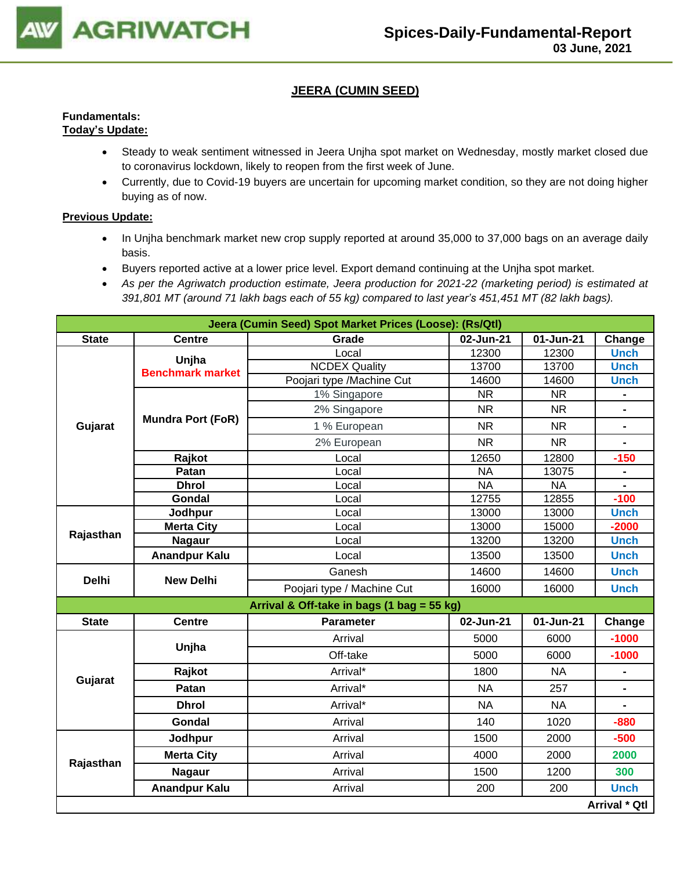

### **JEERA (CUMIN SEED)**

#### **Fundamentals: Today's Update:**

- Steady to weak sentiment witnessed in Jeera Unjha spot market on Wednesday, mostly market closed due to coronavirus lockdown, likely to reopen from the first week of June.
- Currently, due to Covid-19 buyers are uncertain for upcoming market condition, so they are not doing higher buying as of now.

- In Unjha benchmark market new crop supply reported at around 35,000 to 37,000 bags on an average daily basis.
- Buyers reported active at a lower price level. Export demand continuing at the Unjha spot market.
- *As per the Agriwatch production estimate, Jeera production for 2021-22 (marketing period) is estimated at 391,801 MT (around 71 lakh bags each of 55 kg) compared to last year's 451,451 MT (82 lakh bags).*

|              | Jeera (Cumin Seed) Spot Market Prices (Loose): (Rs/Qtl) |                                            |                 |           |                              |  |  |  |
|--------------|---------------------------------------------------------|--------------------------------------------|-----------------|-----------|------------------------------|--|--|--|
| <b>State</b> | <b>Centre</b>                                           | Grade                                      | 02-Jun-21       | 01-Jun-21 | Change                       |  |  |  |
|              | Unjha                                                   | Local                                      | 12300           | 12300     | <b>Unch</b>                  |  |  |  |
|              | <b>Benchmark market</b>                                 | <b>NCDEX Quality</b>                       | 13700           | 13700     | <b>Unch</b>                  |  |  |  |
|              |                                                         | Poojari type /Machine Cut                  | 14600           | 14600     | <b>Unch</b>                  |  |  |  |
|              |                                                         | 1% Singapore                               | <b>NR</b>       | <b>NR</b> |                              |  |  |  |
|              |                                                         | 2% Singapore                               | <b>NR</b>       | <b>NR</b> |                              |  |  |  |
| Gujarat      | <b>Mundra Port (FoR)</b>                                | 1 % European                               | <b>NR</b>       | <b>NR</b> | $\blacksquare$               |  |  |  |
|              |                                                         | 2% European                                | <b>NR</b>       | <b>NR</b> |                              |  |  |  |
|              | Rajkot                                                  | Local                                      | 12650           | 12800     | $-150$                       |  |  |  |
|              | Patan                                                   | Local                                      | <b>NA</b>       | 13075     | $\qquad \qquad \blacksquare$ |  |  |  |
|              | <b>Dhrol</b>                                            | Local                                      | $\overline{NA}$ | <b>NA</b> | $\blacksquare$               |  |  |  |
|              | Gondal                                                  | Local                                      | 12755           | 12855     | $-100$                       |  |  |  |
|              | Jodhpur                                                 | Local                                      | 13000           | 13000     | <b>Unch</b>                  |  |  |  |
| Rajasthan    | <b>Merta City</b>                                       | Local                                      | 13000           | 15000     | $-2000$                      |  |  |  |
|              | <b>Nagaur</b>                                           | Local                                      | 13200           | 13200     | <b>Unch</b>                  |  |  |  |
|              | <b>Anandpur Kalu</b>                                    | Local                                      | 13500           | 13500     | <b>Unch</b>                  |  |  |  |
| <b>Delhi</b> | <b>New Delhi</b>                                        | Ganesh                                     | 14600           | 14600     | <b>Unch</b>                  |  |  |  |
|              |                                                         | Poojari type / Machine Cut                 | 16000           | 16000     | <b>Unch</b>                  |  |  |  |
|              |                                                         | Arrival & Off-take in bags (1 bag = 55 kg) |                 |           |                              |  |  |  |
| <b>State</b> | <b>Centre</b>                                           | <b>Parameter</b>                           | 02-Jun-21       | 01-Jun-21 | Change                       |  |  |  |
|              | Unjha                                                   | Arrival                                    | 5000            | 6000      | $-1000$                      |  |  |  |
|              |                                                         | Off-take                                   | 5000            | 6000      | $-1000$                      |  |  |  |
|              | Rajkot                                                  | Arrival*                                   | 1800            | <b>NA</b> | $\blacksquare$               |  |  |  |
| Gujarat      | Patan                                                   | Arrival*                                   | <b>NA</b>       | 257       |                              |  |  |  |
|              | <b>Dhrol</b>                                            | Arrival*                                   | <b>NA</b>       | <b>NA</b> | $\blacksquare$               |  |  |  |
|              | Gondal                                                  | Arrival                                    | 140             | 1020      | $-880$                       |  |  |  |
|              | Jodhpur                                                 | Arrival                                    | 1500            | 2000      | $-500$                       |  |  |  |
|              | <b>Merta City</b>                                       | Arrival                                    | 4000            | 2000      | 2000                         |  |  |  |
| Rajasthan    | <b>Nagaur</b>                                           | Arrival                                    | 1500            | 1200      | 300                          |  |  |  |
|              | <b>Anandpur Kalu</b>                                    | Arrival                                    | 200             | 200       | <b>Unch</b>                  |  |  |  |
|              |                                                         |                                            |                 |           | Arrival * Qtl                |  |  |  |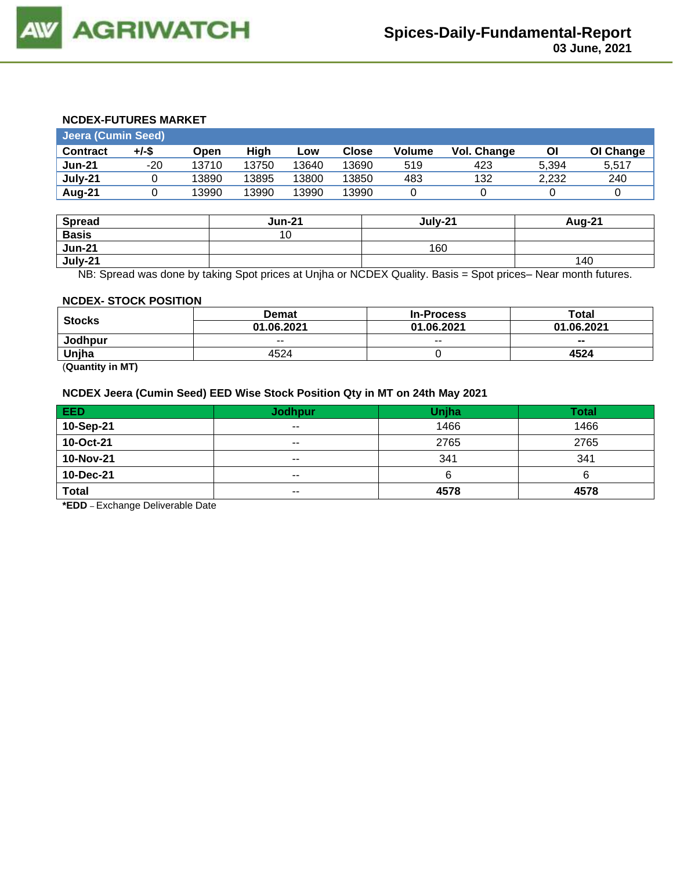

#### **NCDEX-FUTURES MARKET**

| Jeera (Cumin Seed) |       |       |       |       |              |        |             |       |           |  |
|--------------------|-------|-------|-------|-------|--------------|--------|-------------|-------|-----------|--|
| <b>Contract</b>    | +/-\$ | Open  | High  | Low   | <b>Close</b> | Volume | Vol. Change | Οl    | OI Change |  |
| <b>Jun-21</b>      | -20   | 13710 | 13750 | 13640 | 13690        | 519    | 423         | 5.394 | 5.517     |  |
| July-21            |       | 13890 | 13895 | 13800 | 13850        | 483    | 132         | 2.232 | 240       |  |
| Aug-21             |       | 13990 | 13990 | 13990 | 13990        |        |             |       |           |  |

| <b>Spread</b> | <b>Jun-21</b> | July-21 | <b>Aug-21</b> |
|---------------|---------------|---------|---------------|
| <b>Basis</b>  | 10            |         |               |
| <b>Jun-21</b> |               | 160     |               |
| July-21       |               |         | 140           |

NB: Spread was done by taking Spot prices at Unjha or NCDEX Quality. Basis = Spot prices– Near month futures.

#### **NCDEX- STOCK POSITION**

| <b>Stocks</b> | <b>Demat</b> | <b>In-Process</b> | Total      |
|---------------|--------------|-------------------|------------|
|               | 01.06.2021   | 01.06.2021        | 01.06.2021 |
| Jodhpur       | $- -$        | $- -$             | $- -$      |
| Unjha         | 4524         |                   | 4524       |

(**Quantity in MT)**

#### **NCDEX Jeera (Cumin Seed) EED Wise Stock Position Qty in MT on 24th May 2021**

| <b>EED</b>   | <b>Jodhpur</b> | Unjha | <b>Total</b> |
|--------------|----------------|-------|--------------|
| 10-Sep-21    | $- -$          | 1466  | 1466         |
| 10-Oct-21    | $- -$          | 2765  | 2765         |
| 10-Nov-21    | $\sim$ $\sim$  | 341   | 341          |
| 10-Dec-21    | $\sim$ $\sim$  |       | ь            |
| <b>Total</b> | $\sim$ $\sim$  | 4578  | 4578         |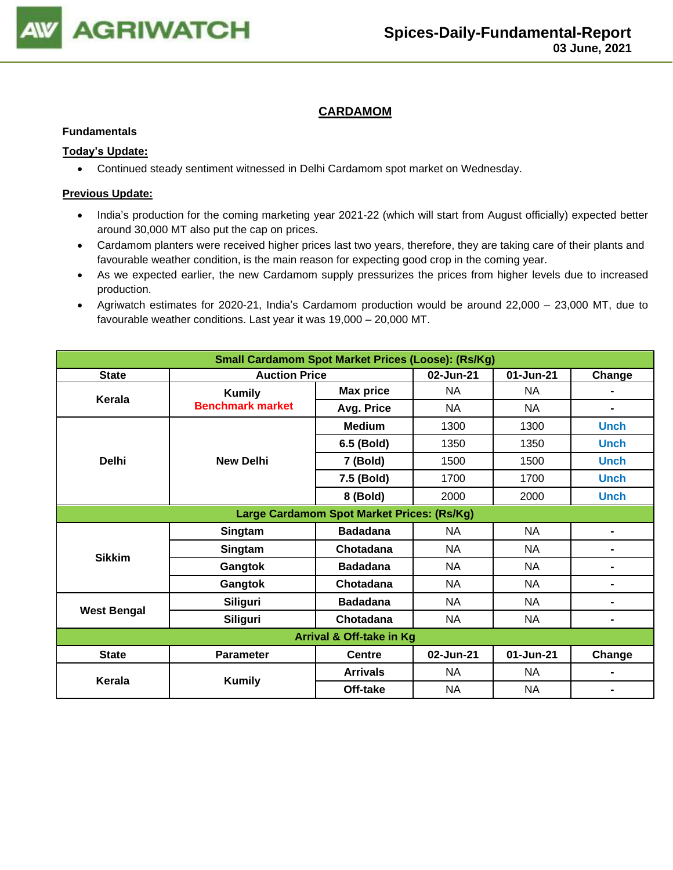

#### **CARDAMOM**

#### **Fundamentals**

#### **Today's Update:**

• Continued steady sentiment witnessed in Delhi Cardamom spot market on Wednesday.

- India's production for the coming marketing year 2021-22 (which will start from August officially) expected better around 30,000 MT also put the cap on prices.
- Cardamom planters were received higher prices last two years, therefore, they are taking care of their plants and favourable weather condition, is the main reason for expecting good crop in the coming year.
- As we expected earlier, the new Cardamom supply pressurizes the prices from higher levels due to increased production.
- Agriwatch estimates for 2020-21, India's Cardamom production would be around 22,000 23,000 MT, due to favourable weather conditions. Last year it was 19,000 – 20,000 MT.

| <b>Small Cardamom Spot Market Prices (Loose): (Rs/Kg)</b> |                          |                                            |           |           |                |  |  |  |  |
|-----------------------------------------------------------|--------------------------|--------------------------------------------|-----------|-----------|----------------|--|--|--|--|
| <b>State</b>                                              | <b>Auction Price</b>     |                                            | 02-Jun-21 | 01-Jun-21 | Change         |  |  |  |  |
| Kerala                                                    | <b>Kumily</b>            | <b>Max price</b>                           | <b>NA</b> | <b>NA</b> | $\blacksquare$ |  |  |  |  |
|                                                           | <b>Benchmark market</b>  | Avg. Price                                 | <b>NA</b> | NA.       | ۰              |  |  |  |  |
|                                                           |                          | <b>Medium</b>                              | 1300      | 1300      | <b>Unch</b>    |  |  |  |  |
|                                                           |                          | 6.5 (Bold)                                 | 1350      | 1350      | <b>Unch</b>    |  |  |  |  |
| <b>Delhi</b>                                              | <b>New Delhi</b>         | 7 (Bold)                                   | 1500      | 1500      | <b>Unch</b>    |  |  |  |  |
|                                                           |                          | 7.5 (Bold)                                 | 1700      | 1700      | <b>Unch</b>    |  |  |  |  |
|                                                           |                          | 8 (Bold)                                   | 2000      | 2000      | <b>Unch</b>    |  |  |  |  |
|                                                           |                          | Large Cardamom Spot Market Prices: (Rs/Kg) |           |           |                |  |  |  |  |
|                                                           | Singtam                  | <b>Badadana</b>                            | NA        | NA        | ۰              |  |  |  |  |
|                                                           | Singtam                  | Chotadana                                  | <b>NA</b> | <b>NA</b> | ۰              |  |  |  |  |
|                                                           | Gangtok                  | <b>Badadana</b>                            | <b>NA</b> | <b>NA</b> | $\blacksquare$ |  |  |  |  |
|                                                           | <b>Sikkim</b><br>Gangtok | Chotadana                                  | <b>NA</b> | <b>NA</b> | ۰              |  |  |  |  |
| <b>West Bengal</b>                                        | <b>Siliguri</b>          | <b>Badadana</b>                            | NA        | NA        | ۰              |  |  |  |  |
|                                                           | Siliguri                 | Chotadana                                  | <b>NA</b> | <b>NA</b> | $\blacksquare$ |  |  |  |  |
| <b>Arrival &amp; Off-take in Kg</b>                       |                          |                                            |           |           |                |  |  |  |  |
| <b>State</b>                                              | <b>Parameter</b>         | <b>Centre</b>                              | 02-Jun-21 | 01-Jun-21 | Change         |  |  |  |  |
| Kerala                                                    | <b>Kumily</b>            | <b>Arrivals</b>                            | NA        | NA        | $\blacksquare$ |  |  |  |  |
|                                                           |                          | Off-take                                   | NA        | <b>NA</b> | -              |  |  |  |  |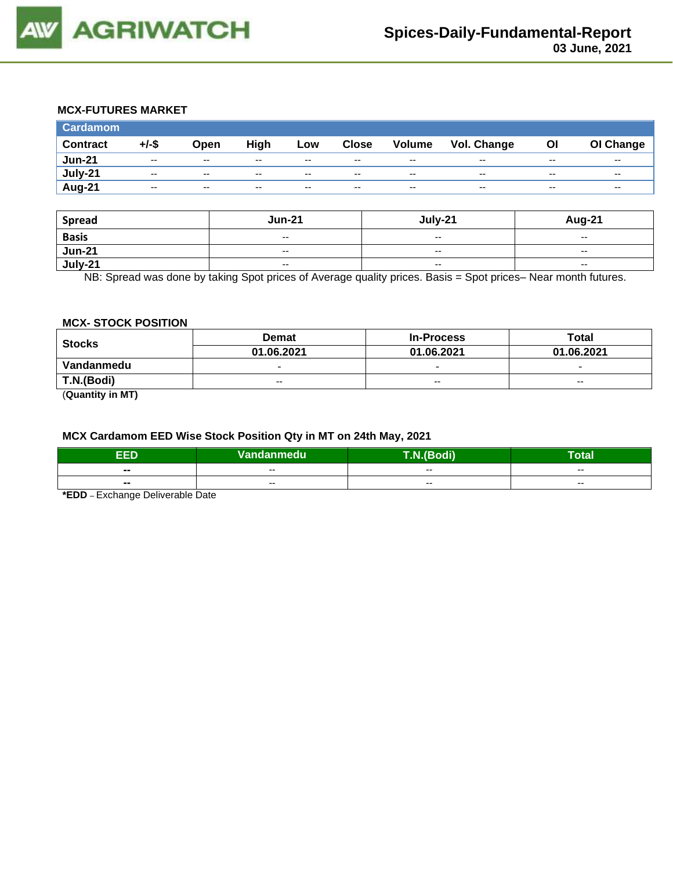

### **MCX-FUTURES MARKET**

| <b>Cardamom</b> |          |       |       |       |              |        |                    |       |           |
|-----------------|----------|-------|-------|-------|--------------|--------|--------------------|-------|-----------|
| <b>Contract</b> | $+/-$ \$ | Open  | High  | Low   | <b>Close</b> | Volume | <b>Vol. Change</b> | OI    | OI Change |
| <b>Jun-21</b>   | $-$      | $-$   | $- -$ | $-$   | $-$          | $-$    | --                 | $- -$ | --        |
| July-21         | $- -$    | $- -$ | $- -$ | $- -$ | $- -$        | $- -$  | $- -$              | $- -$ | $- -$     |
| <b>Aug-21</b>   | $- -$    | $- -$ | $- -$ | $- -$ | $- -$        | $- -$  | $- -$              | $- -$ | $- -$     |

| <b>Spread</b> | <b>Jun-21</b>            | July-21                  | <b>Aug-21</b>            |
|---------------|--------------------------|--------------------------|--------------------------|
| <b>Basis</b>  | $-$                      | $\overline{\phantom{a}}$ | $\overline{\phantom{a}}$ |
| <b>Jun-21</b> | $\overline{\phantom{a}}$ | $-$                      | $\overline{\phantom{a}}$ |
| July-21       | $\overline{\phantom{a}}$ | $-$                      | $\overline{\phantom{a}}$ |

NB: Spread was done by taking Spot prices of Average quality prices. Basis = Spot prices– Near month futures.

#### **MCX- STOCK POSITION**

| <b>Stocks</b> | <b>Demat</b>             | <b>In-Process</b>        | Total                    |  |
|---------------|--------------------------|--------------------------|--------------------------|--|
|               | 01.06.2021               | 01.06.2021               | 01.06.2021               |  |
| Vandanmedu    | $\overline{\phantom{0}}$ | $\overline{\phantom{0}}$ | $\overline{\phantom{0}}$ |  |
| T.N.(Bodi)    | $- -$                    | $-$                      | $- -$                    |  |
|               |                          |                          |                          |  |

(**Quantity in MT)**

# **MCX Cardamom EED Wise Stock Position Qty in MT on 24th May, 2021**

| EED                      | <b>Vandanmedu</b> | ---   | Total |  |  |
|--------------------------|-------------------|-------|-------|--|--|
| --                       | $- -$             | $- -$ | $- -$ |  |  |
| $\overline{\phantom{a}}$ | --                | $- -$ | $- -$ |  |  |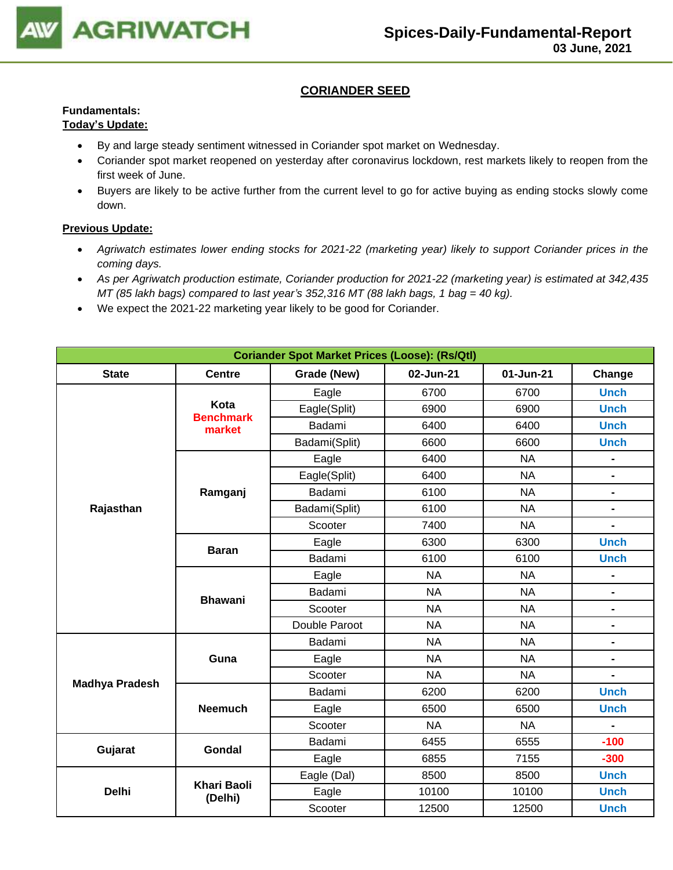

#### **CORIANDER SEED**

# **Fundamentals:**

### **Today's Update:**

- By and large steady sentiment witnessed in Coriander spot market on Wednesday.
- Coriander spot market reopened on yesterday after coronavirus lockdown, rest markets likely to reopen from the first week of June.
- Buyers are likely to be active further from the current level to go for active buying as ending stocks slowly come down.

- *Agriwatch estimates lower ending stocks for 2021-22 (marketing year) likely to support Coriander prices in the coming days.*
- *As per Agriwatch production estimate, Coriander production for 2021-22 (marketing year) is estimated at 342,435 MT (85 lakh bags) compared to last year's 352,316 MT (88 lakh bags, 1 bag = 40 kg).*
- We expect the 2021-22 marketing year likely to be good for Coriander.

| <b>Coriander Spot Market Prices (Loose): (Rs/Qtl)</b> |                               |               |                        |           |                              |  |  |
|-------------------------------------------------------|-------------------------------|---------------|------------------------|-----------|------------------------------|--|--|
| <b>State</b>                                          | <b>Centre</b>                 | Grade (New)   | 02-Jun-21<br>01-Jun-21 |           | Change                       |  |  |
|                                                       |                               | Eagle         | 6700                   | 6700      | <b>Unch</b>                  |  |  |
|                                                       | Kota<br><b>Benchmark</b>      | Eagle(Split)  | 6900                   | 6900      | <b>Unch</b>                  |  |  |
|                                                       | market                        | Badami        | 6400                   | 6400      | <b>Unch</b>                  |  |  |
|                                                       |                               | Badami(Split) | 6600                   | 6600      | <b>Unch</b>                  |  |  |
|                                                       |                               | Eagle         | 6400                   | <b>NA</b> |                              |  |  |
|                                                       |                               | Eagle(Split)  | 6400                   | <b>NA</b> | $\overline{\phantom{0}}$     |  |  |
|                                                       | Ramganj                       | Badami        | 6100                   | <b>NA</b> | $\qquad \qquad \blacksquare$ |  |  |
| Rajasthan                                             |                               | Badami(Split) | 6100                   | <b>NA</b> | $\blacksquare$               |  |  |
|                                                       |                               | Scooter       | 7400                   | <b>NA</b> | $\overline{\phantom{0}}$     |  |  |
|                                                       | <b>Baran</b>                  | Eagle         | 6300                   | 6300      | <b>Unch</b>                  |  |  |
|                                                       |                               | Badami        | 6100                   | 6100      | <b>Unch</b>                  |  |  |
|                                                       |                               | Eagle         | <b>NA</b>              | <b>NA</b> | $\blacksquare$               |  |  |
|                                                       | <b>Bhawani</b>                | Badami        | <b>NA</b>              | <b>NA</b> | $\blacksquare$               |  |  |
|                                                       |                               | Scooter       | <b>NA</b>              | <b>NA</b> | $\blacksquare$               |  |  |
|                                                       |                               | Double Paroot | <b>NA</b>              | <b>NA</b> | $\qquad \qquad \blacksquare$ |  |  |
|                                                       |                               | Badami        | <b>NA</b>              | <b>NA</b> | $\blacksquare$               |  |  |
|                                                       | Guna                          | Eagle         | <b>NA</b>              | <b>NA</b> | $\blacksquare$               |  |  |
| <b>Madhya Pradesh</b>                                 |                               | Scooter       | <b>NA</b>              | <b>NA</b> |                              |  |  |
|                                                       |                               | Badami        | 6200                   | 6200      | <b>Unch</b>                  |  |  |
|                                                       | <b>Neemuch</b>                | Eagle         | 6500                   | 6500      | <b>Unch</b>                  |  |  |
|                                                       |                               | Scooter       | <b>NA</b>              | <b>NA</b> |                              |  |  |
| Gujarat                                               | Gondal                        | Badami        | 6455                   | 6555      | $-100$                       |  |  |
|                                                       |                               | Eagle         | 6855                   | 7155      | $-300$                       |  |  |
|                                                       |                               | Eagle (Dal)   | 8500                   | 8500      | <b>Unch</b>                  |  |  |
| <b>Delhi</b>                                          | <b>Khari Baoli</b><br>(Delhi) | Eagle         | 10100                  | 10100     | <b>Unch</b>                  |  |  |
|                                                       |                               | Scooter       | 12500                  | 12500     | <b>Unch</b>                  |  |  |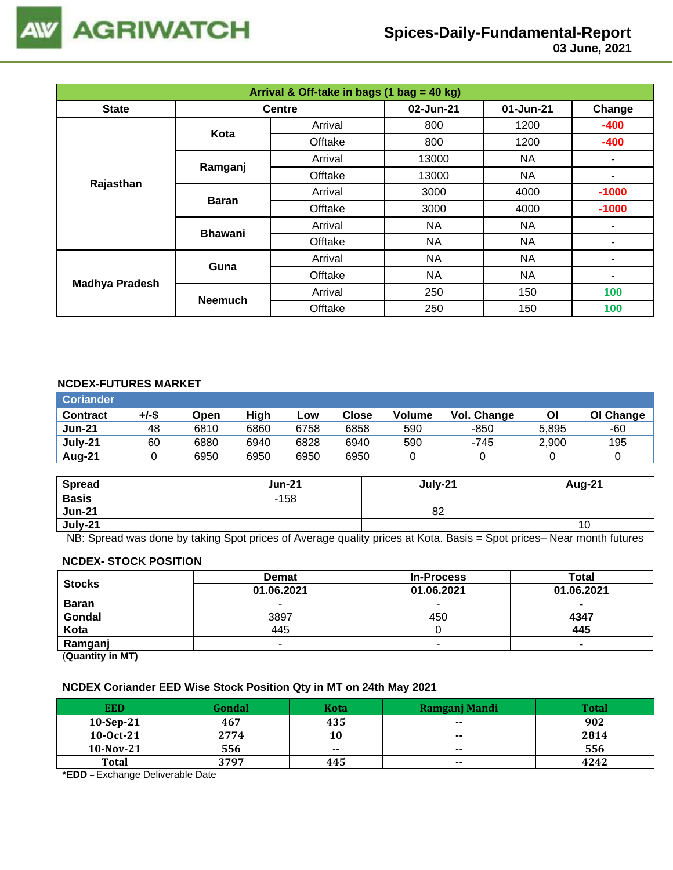

 **03 June, 2021**

| Arrival & Off-take in bags (1 bag = 40 kg) |                |               |           |           |                |  |  |  |  |
|--------------------------------------------|----------------|---------------|-----------|-----------|----------------|--|--|--|--|
| <b>State</b>                               |                | <b>Centre</b> | 02-Jun-21 | 01-Jun-21 | Change         |  |  |  |  |
|                                            | Kota           | Arrival       | 800       | 1200      | $-400$         |  |  |  |  |
|                                            |                | Offtake       | 800       | 1200      | $-400$         |  |  |  |  |
|                                            |                | Arrival       | 13000     | NA.       | $\blacksquare$ |  |  |  |  |
| Rajasthan                                  | Ramganj        | Offtake       | 13000     | NA        | ۰              |  |  |  |  |
|                                            |                | Arrival       | 3000      | 4000      | $-1000$        |  |  |  |  |
|                                            | <b>Baran</b>   | Offtake       | 3000      | 4000      | $-1000$        |  |  |  |  |
|                                            | <b>Bhawani</b> | Arrival       | <b>NA</b> | <b>NA</b> | ۰              |  |  |  |  |
|                                            |                | Offtake       | <b>NA</b> | <b>NA</b> | ۰              |  |  |  |  |
|                                            | Guna           | Arrival       | <b>NA</b> | <b>NA</b> | -              |  |  |  |  |
| <b>Madhya Pradesh</b>                      |                | Offtake       | <b>NA</b> | <b>NA</b> | ۰              |  |  |  |  |
|                                            | <b>Neemuch</b> | Arrival       | 250       | 150       | 100            |  |  |  |  |
|                                            |                | Offtake       | 250       | 150       | 100            |  |  |  |  |

#### **NCDEX-FUTURES MARKET**

| <b>Coriander</b> |       |      |      |      |       |        |             |       |           |
|------------------|-------|------|------|------|-------|--------|-------------|-------|-----------|
| <b>Contract</b>  | +/-\$ | Open | High | Low  | Close | Volume | Vol. Change | ΟI    | OI Change |
| <b>Jun-21</b>    | 48    | 6810 | 6860 | 6758 | 6858  | 590    | $-850$      | 5.895 | -60       |
| July-21          | 60    | 6880 | 6940 | 6828 | 6940  | 590    | -745        | 2.900 | 195       |
| Aug-21           |       | 6950 | 6950 | 6950 | 6950  |        |             |       |           |

| <b>Spread</b> | <b>Jun-21</b> | July-21 | Aug-21 |
|---------------|---------------|---------|--------|
| <b>Basis</b>  | $-158$        |         |        |
| <b>Jun-21</b> |               | 82      |        |
| July-21       |               |         | 10     |

NB: Spread was done by taking Spot prices of Average quality prices at Kota. Basis = Spot prices– Near month futures

#### **NCDEX- STOCK POSITION**

| <b>Stocks</b>                                                   | <b>Demat</b> | <b>In-Process</b> | Total          |  |
|-----------------------------------------------------------------|--------------|-------------------|----------------|--|
|                                                                 | 01.06.2021   | 01.06.2021        | 01.06.2021     |  |
| <b>Baran</b>                                                    |              | -                 | -              |  |
| Gondal                                                          | 3897         | 450               | 4347           |  |
| Kota                                                            | 445          |                   | 445            |  |
| Ramganj                                                         | -            |                   | $\blacksquare$ |  |
| $\mathbf{r}$ and $\mathbf{r}$ and $\mathbf{r}$ and $\mathbf{r}$ |              |                   |                |  |

(**Quantity in MT)**

## **NCDEX Coriander EED Wise Stock Position Qty in MT on 24th May 2021**

| <b>EED</b>   | Gondal | <b>Kota</b> | <b>Ramganj Mandi</b> | Total |
|--------------|--------|-------------|----------------------|-------|
| $10-Sep-21$  | 467    | 435         | $\sim$               | 902   |
| $10-0ct-21$  | 2774   | 10          | $- -$                | 2814  |
| $10-Nov-21$  | 556    | $- -$       | $- -$                | 556   |
| <b>Total</b> | 3797   | 445         | $\sim$               | 4242  |